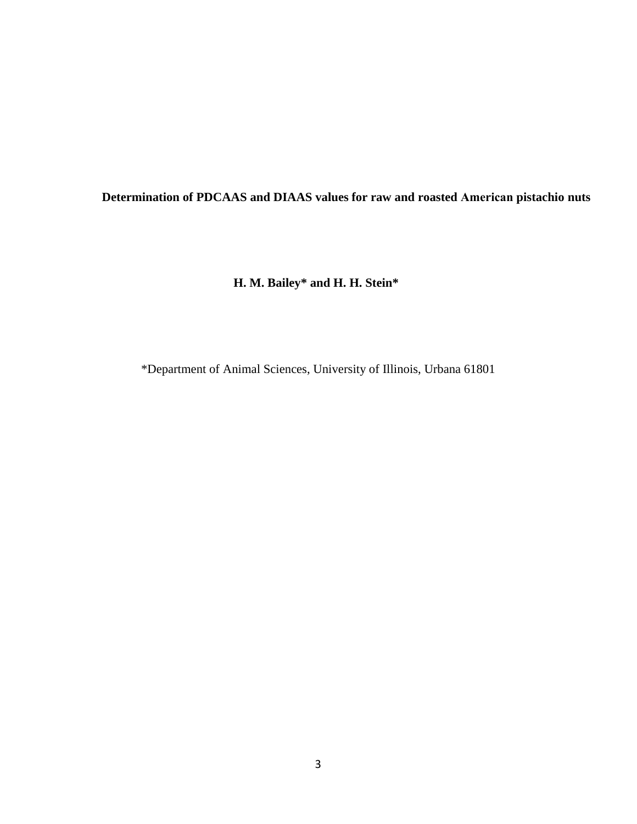# **Determination of PDCAAS and DIAAS values for raw and roasted American pistachio nuts**

**H. M. Bailey\* and H. H. Stein\***

\*Department of Animal Sciences, University of Illinois, Urbana 61801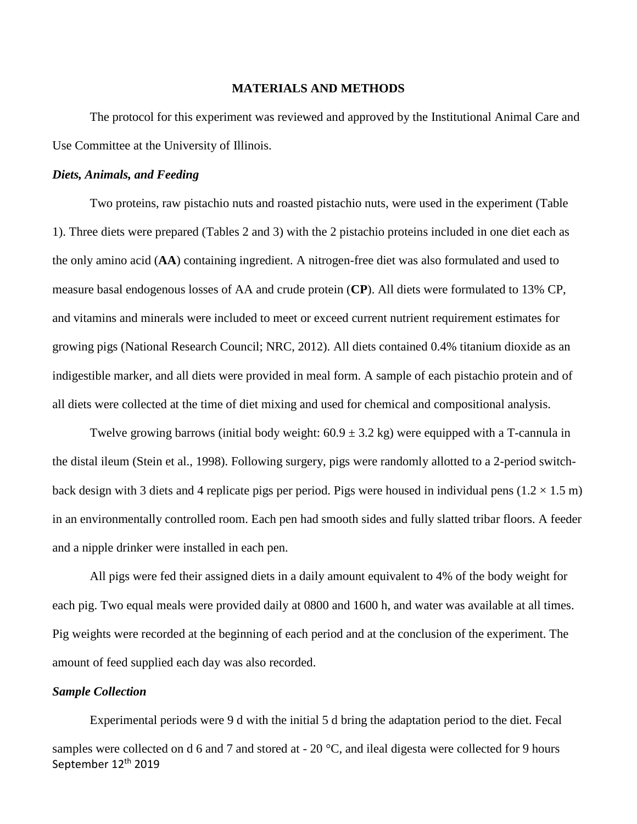#### **MATERIALS AND METHODS**

The protocol for this experiment was reviewed and approved by the Institutional Animal Care and Use Committee at the University of Illinois.

### *Diets, Animals, and Feeding*

Two proteins, raw pistachio nuts and roasted pistachio nuts, were used in the experiment (Table 1). Three diets were prepared (Tables 2 and 3) with the 2 pistachio proteins included in one diet each as the only amino acid (**AA**) containing ingredient. A nitrogen-free diet was also formulated and used to measure basal endogenous losses of AA and crude protein (**CP**). All diets were formulated to 13% CP, and vitamins and minerals were included to meet or exceed current nutrient requirement estimates for growing pigs (National Research Council; NRC, 2012). All diets contained 0.4% titanium dioxide as an indigestible marker, and all diets were provided in meal form. A sample of each pistachio protein and of all diets were collected at the time of diet mixing and used for chemical and compositional analysis.

Twelve growing barrows (initial body weight:  $60.9 \pm 3.2$  kg) were equipped with a T-cannula in the distal ileum (Stein et al., 1998). Following surgery, pigs were randomly allotted to a 2-period switchback design with 3 diets and 4 replicate pigs per period. Pigs were housed in individual pens ( $1.2 \times 1.5$  m) in an environmentally controlled room. Each pen had smooth sides and fully slatted tribar floors. A feeder and a nipple drinker were installed in each pen.

All pigs were fed their assigned diets in a daily amount equivalent to 4% of the body weight for each pig. Two equal meals were provided daily at 0800 and 1600 h, and water was available at all times. Pig weights were recorded at the beginning of each period and at the conclusion of the experiment. The amount of feed supplied each day was also recorded.

### *Sample Collection*

September 12<sup>th</sup> 2019 Experimental periods were 9 d with the initial 5 d bring the adaptation period to the diet. Fecal samples were collected on d 6 and 7 and stored at - 20 °C, and ileal digesta were collected for 9 hours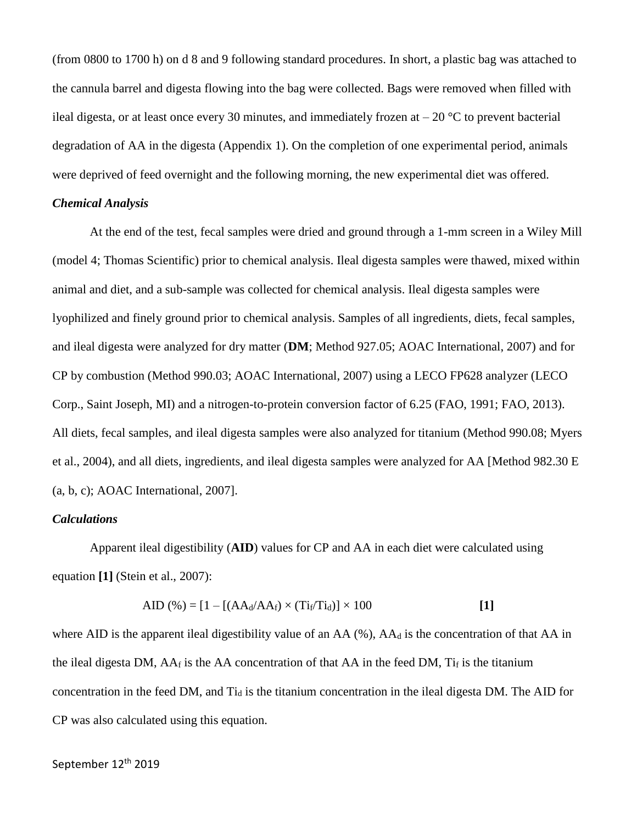(from 0800 to 1700 h) on d 8 and 9 following standard procedures. In short, a plastic bag was attached to the cannula barrel and digesta flowing into the bag were collected. Bags were removed when filled with ileal digesta, or at least once every 30 minutes, and immediately frozen at  $-20$  °C to prevent bacterial degradation of AA in the digesta (Appendix 1). On the completion of one experimental period, animals were deprived of feed overnight and the following morning, the new experimental diet was offered.

### *Chemical Analysis*

At the end of the test, fecal samples were dried and ground through a 1-mm screen in a Wiley Mill (model 4; Thomas Scientific) prior to chemical analysis. Ileal digesta samples were thawed, mixed within animal and diet, and a sub-sample was collected for chemical analysis. Ileal digesta samples were lyophilized and finely ground prior to chemical analysis. Samples of all ingredients, diets, fecal samples, and ileal digesta were analyzed for dry matter (**DM**; Method 927.05; AOAC International, 2007) and for CP by combustion (Method 990.03; AOAC International, 2007) using a LECO FP628 analyzer (LECO Corp., Saint Joseph, MI) and a nitrogen-to-protein conversion factor of 6.25 (FAO, 1991; FAO, 2013). All diets, fecal samples, and ileal digesta samples were also analyzed for titanium (Method 990.08; Myers et al., 2004), and all diets, ingredients, and ileal digesta samples were analyzed for AA [Method 982.30 E (a, b, c); AOAC International, 2007].

### *Calculations*

Apparent ileal digestibility (**AID**) values for CP and AA in each diet were calculated using equation **[1]** (Stein et al., 2007):

$$
AID (\%) = [1 - [(AAd/AAf) \times (Tif/Tid)] \times 100
$$
 [1]

where AID is the apparent ileal digestibility value of an AA  $(\%)$ , AA $_d$  is the concentration of that AA in the ileal digesta DM,  $AA_f$  is the AA concentration of that AA in the feed DM,  $Ti_f$  is the titanium concentration in the feed DM, and Ti<sub>d</sub> is the titanium concentration in the ileal digesta DM. The AID for CP was also calculated using this equation.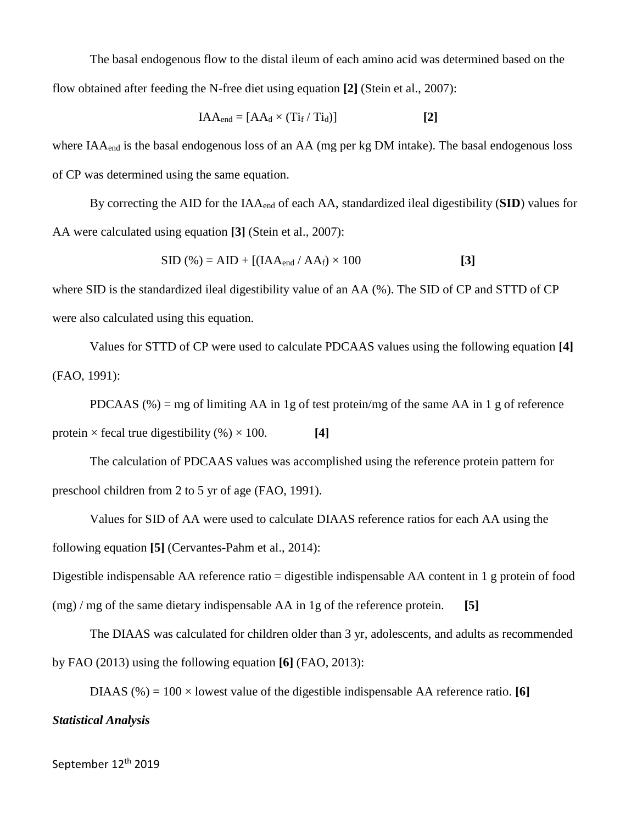The basal endogenous flow to the distal ileum of each amino acid was determined based on the flow obtained after feeding the N-free diet using equation **[2]** (Stein et al., 2007):

$$
IAA_{end} = [AA_d \times (Ti_f / Ti_d)]
$$
 [2]

where  $IAA<sub>end</sub>$  is the basal endogenous loss of an  $AA$  (mg per kg DM intake). The basal endogenous loss of CP was determined using the same equation.

By correcting the AID for the IAAend of each AA, standardized ileal digestibility (**SID**) values for AA were calculated using equation **[3]** (Stein et al., 2007):

$$
SID (\% ) = AID + [(IAAend / AAf) \times 100
$$
 [3]

where SID is the standardized ileal digestibility value of an AA (%). The SID of CP and STTD of CP were also calculated using this equation.

Values for STTD of CP were used to calculate PDCAAS values using the following equation **[4]** (FAO, 1991):

PDCAAS  $(\%)$  = mg of limiting AA in 1g of test protein/mg of the same AA in 1 g of reference protein  $\times$  fecal true digestibility (%)  $\times$  100. **[4]** 

The calculation of PDCAAS values was accomplished using the reference protein pattern for preschool children from 2 to 5 yr of age (FAO, 1991).

Values for SID of AA were used to calculate DIAAS reference ratios for each AA using the following equation **[5]** (Cervantes-Pahm et al., 2014):

Digestible indispensable AA reference ratio = digestible indispensable AA content in 1 g protein of food

(mg) / mg of the same dietary indispensable AA in 1g of the reference protein. **[5]**

The DIAAS was calculated for children older than 3 yr, adolescents, and adults as recommended by FAO (2013) using the following equation **[6]** (FAO, 2013):

DIAAS (%) =  $100 \times$  lowest value of the digestible indispensable AA reference ratio. **[6]** 

## *Statistical Analysis*

September 12<sup>th</sup> 2019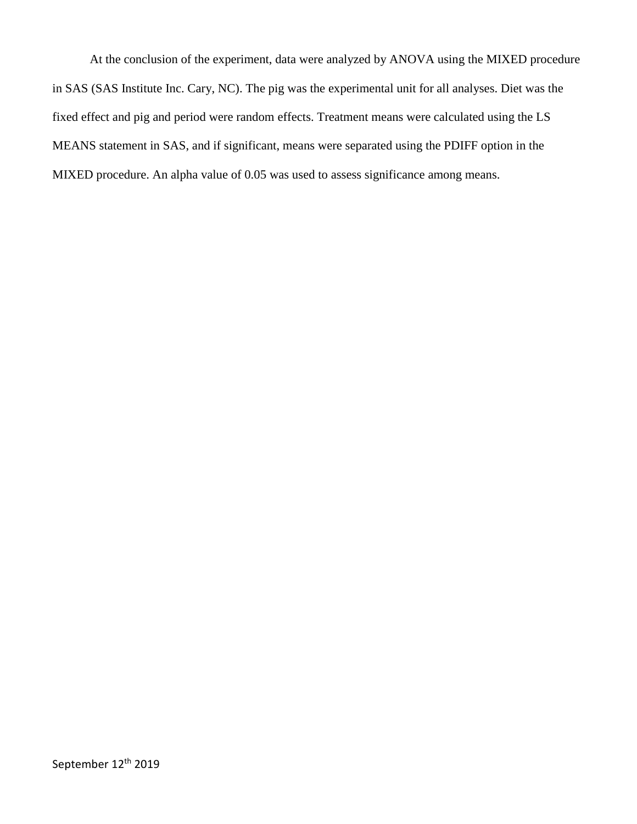At the conclusion of the experiment, data were analyzed by ANOVA using the MIXED procedure in SAS (SAS Institute Inc. Cary, NC). The pig was the experimental unit for all analyses. Diet was the fixed effect and pig and period were random effects. Treatment means were calculated using the LS MEANS statement in SAS, and if significant, means were separated using the PDIFF option in the MIXED procedure. An alpha value of 0.05 was used to assess significance among means.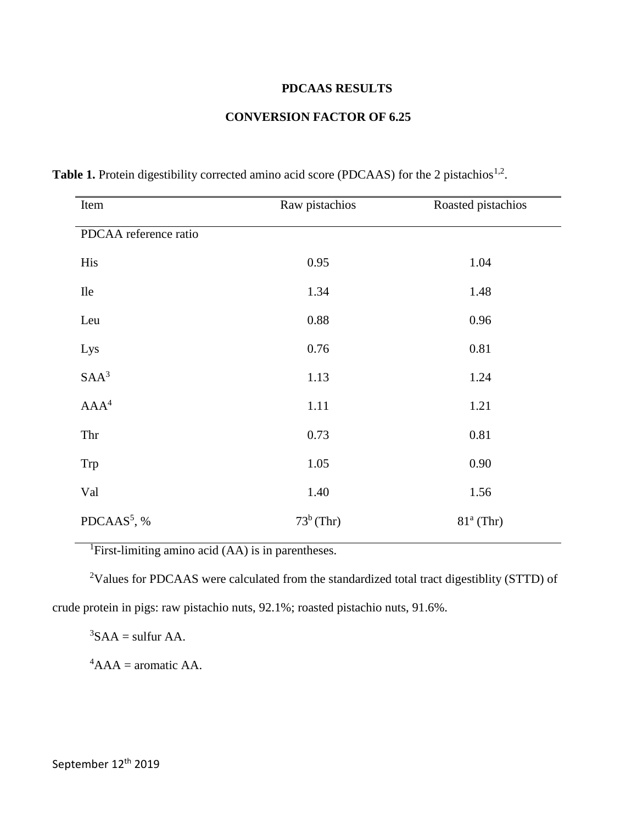## **PDCAAS RESULTS**

## **CONVERSION FACTOR OF 6.25**

| Item                    | Raw pistachios | Roasted pistachios |
|-------------------------|----------------|--------------------|
| PDCAA reference ratio   |                |                    |
| His                     | 0.95           | 1.04               |
| <b>Ile</b>              | 1.34           | 1.48               |
| Leu                     | 0.88           | 0.96               |
| Lys                     | 0.76           | 0.81               |
| SAA <sup>3</sup>        | 1.13           | 1.24               |
| AAA <sup>4</sup>        | 1.11           | 1.21               |
| Thr                     | 0.73           | 0.81               |
| Trp                     | 1.05           | 0.90               |
| Val                     | 1.40           | 1.56               |
| PDCAAS <sup>5</sup> , % | $73^b$ (Thr)   | $81a$ (Thr)        |

Table 1. Protein digestibility corrected amino acid score (PDCAAS) for the 2 pistachios<sup>1,2</sup>.

<sup>1</sup>First-limiting amino acid (AA) is in parentheses.

<sup>2</sup>Values for PDCAAS were calculated from the standardized total tract digestiblity (STTD) of crude protein in pigs: raw pistachio nuts, 92.1%; roasted pistachio nuts, 91.6%.

 ${}^{3}SAA =$  sulfur AA.

 ${}^4$ AAA = aromatic AA.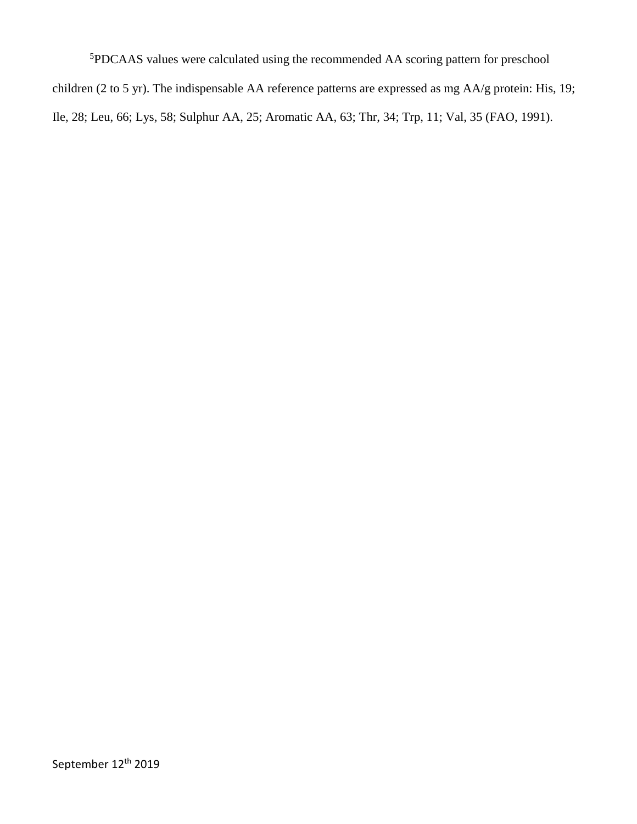<sup>5</sup>PDCAAS values were calculated using the recommended AA scoring pattern for preschool children (2 to 5 yr). The indispensable AA reference patterns are expressed as mg AA/g protein: His, 19; Ile, 28; Leu, 66; Lys, 58; Sulphur AA, 25; Aromatic AA, 63; Thr, 34; Trp, 11; Val, 35 (FAO, 1991).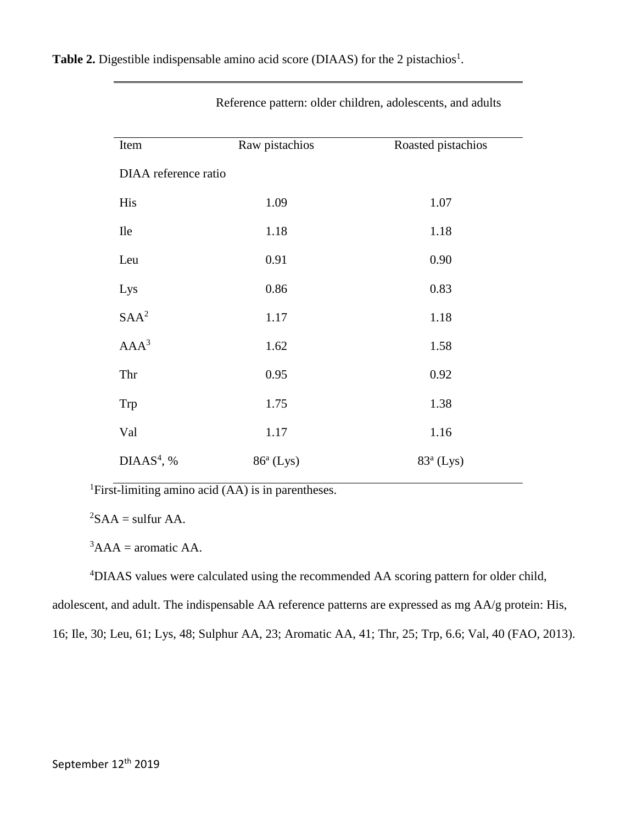| Item                 | Raw pistachios | Roasted pistachios |  |
|----------------------|----------------|--------------------|--|
| DIAA reference ratio |                |                    |  |
| His                  | 1.09           | 1.07               |  |
| <b>Ile</b>           | 1.18           | 1.18               |  |
| Leu                  | 0.91           | 0.90               |  |
| Lys                  | 0.86           | 0.83               |  |
| SAA <sup>2</sup>     | 1.17           | 1.18               |  |
| AAA <sup>3</sup>     | 1.62           | 1.58               |  |
| Thr                  | 0.95           | 0.92               |  |
| Trp                  | 1.75           | 1.38               |  |
| Val                  | 1.17           | 1.16               |  |
| $DIAAS4$ , %         | $86a$ (Lys)    | $83a$ (Lys)        |  |

Reference pattern: older children, adolescents, and adults

<sup>1</sup>First-limiting amino acid (AA) is in parentheses.

 ${}^{2}SAA =$  sulfur AA.

 ${}^{3}AA =$  aromatic AA.

<sup>4</sup>DIAAS values were calculated using the recommended AA scoring pattern for older child,

adolescent, and adult. The indispensable AA reference patterns are expressed as mg AA/g protein: His,

16; Ile, 30; Leu, 61; Lys, 48; Sulphur AA, 23; Aromatic AA, 41; Thr, 25; Trp, 6.6; Val, 40 (FAO, 2013).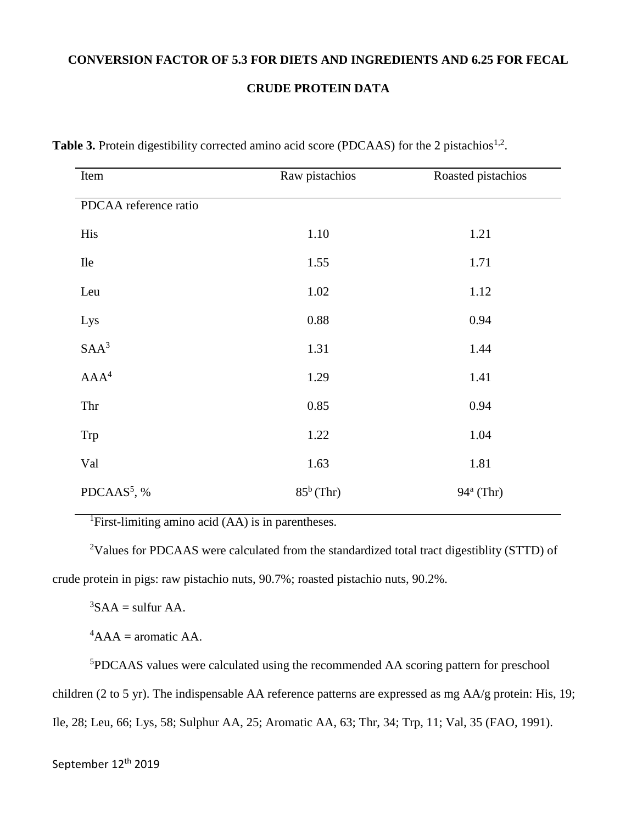## **CONVERSION FACTOR OF 5.3 FOR DIETS AND INGREDIENTS AND 6.25 FOR FECAL**

### **CRUDE PROTEIN DATA**

| Item                    | Raw pistachios | Roasted pistachios |
|-------------------------|----------------|--------------------|
| PDCAA reference ratio   |                |                    |
| His                     | 1.10           | 1.21               |
| <b>Ile</b>              | 1.55           | 1.71               |
| Leu                     | 1.02           | 1.12               |
| Lys                     | 0.88           | 0.94               |
| SAA <sup>3</sup>        | 1.31           | 1.44               |
| AAA <sup>4</sup>        | 1.29           | 1.41               |
| Thr                     | 0.85           | 0.94               |
| Trp                     | 1.22           | 1.04               |
| Val                     | 1.63           | 1.81               |
| PDCAAS <sup>5</sup> , % | $85^b$ (Thr)   | $94^a$ (Thr)       |

Table 3. Protein digestibility corrected amino acid score (PDCAAS) for the 2 pistachios<sup>1,2</sup>.

<sup>1</sup>First-limiting amino acid (AA) is in parentheses.

<sup>2</sup>Values for PDCAAS were calculated from the standardized total tract digestiblity (STTD) of crude protein in pigs: raw pistachio nuts, 90.7%; roasted pistachio nuts, 90.2%.

 ${}^{3}SAA =$  sulfur AA.

 ${}^4$ AAA = aromatic AA.

<sup>5</sup>PDCAAS values were calculated using the recommended AA scoring pattern for preschool children (2 to 5 yr). The indispensable AA reference patterns are expressed as mg AA/g protein: His, 19; Ile, 28; Leu, 66; Lys, 58; Sulphur AA, 25; Aromatic AA, 63; Thr, 34; Trp, 11; Val, 35 (FAO, 1991).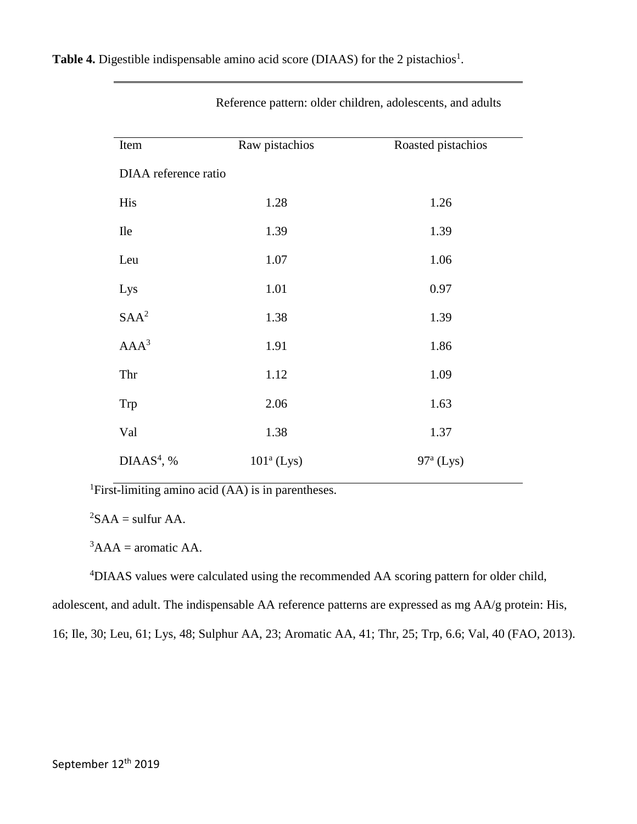| Item                 | Raw pistachios | Roasted pistachios |  |  |
|----------------------|----------------|--------------------|--|--|
| DIAA reference ratio |                |                    |  |  |
| His                  | 1.28           | 1.26               |  |  |
| <b>Ile</b>           | 1.39           | 1.39               |  |  |
| Leu                  | 1.07           | 1.06               |  |  |
| Lys                  | 1.01           | 0.97               |  |  |
| SAA <sup>2</sup>     | 1.38           | 1.39               |  |  |
| AAA <sup>3</sup>     | 1.91           | 1.86               |  |  |
| Thr                  | 1.12           | 1.09               |  |  |
| Trp                  | 2.06           | 1.63               |  |  |
| Val                  | 1.38           | 1.37               |  |  |
| $DIAAS4$ , %         | $101a$ (Lys)   | $97a$ (Lys)        |  |  |

Reference pattern: older children, adolescents, and adults

<sup>1</sup>First-limiting amino acid (AA) is in parentheses.

 ${}^{2}SAA =$  sulfur AA.

 ${}^{3}AA =$  aromatic AA.

<sup>4</sup>DIAAS values were calculated using the recommended AA scoring pattern for older child,

adolescent, and adult. The indispensable AA reference patterns are expressed as mg AA/g protein: His,

16; Ile, 30; Leu, 61; Lys, 48; Sulphur AA, 23; Aromatic AA, 41; Thr, 25; Trp, 6.6; Val, 40 (FAO, 2013).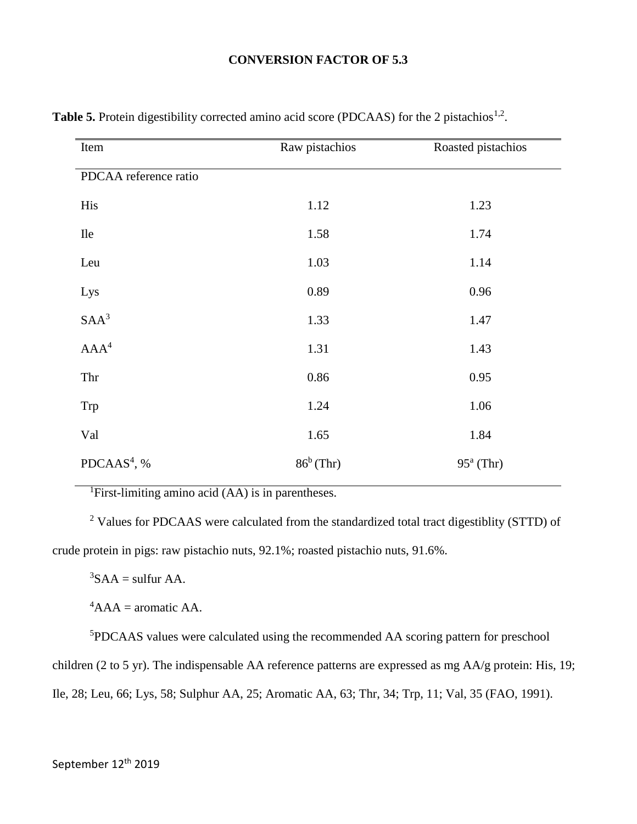## **CONVERSION FACTOR OF 5.3**

| Item                    | Raw pistachios | Roasted pistachios |
|-------------------------|----------------|--------------------|
| PDCAA reference ratio   |                |                    |
| His                     | 1.12           | 1.23               |
| <b>Ile</b>              | 1.58           | 1.74               |
| Leu                     | 1.03           | 1.14               |
| Lys                     | 0.89           | 0.96               |
| SAA <sup>3</sup>        | 1.33           | 1.47               |
| AAA <sup>4</sup>        | 1.31           | 1.43               |
| Thr                     | 0.86           | 0.95               |
| Trp                     | 1.24           | 1.06               |
| Val                     | 1.65           | 1.84               |
| PDCAAS <sup>4</sup> , % | $86^b$ (Thr)   | $95^a$ (Thr)       |
|                         |                |                    |

Table 5. Protein digestibility corrected amino acid score (PDCAAS) for the 2 pistachios<sup>1,2</sup>.

<sup>1</sup>First-limiting amino acid (AA) is in parentheses.

<sup>2</sup> Values for PDCAAS were calculated from the standardized total tract digestiblity (STTD) of crude protein in pigs: raw pistachio nuts, 92.1%; roasted pistachio nuts, 91.6%.

 ${}^{3}SAA =$  sulfur AA.

 ${}^4$ AAA = aromatic AA.

<sup>5</sup>PDCAAS values were calculated using the recommended AA scoring pattern for preschool children (2 to 5 yr). The indispensable AA reference patterns are expressed as mg AA/g protein: His, 19;

Ile, 28; Leu, 66; Lys, 58; Sulphur AA, 25; Aromatic AA, 63; Thr, 34; Trp, 11; Val, 35 (FAO, 1991).